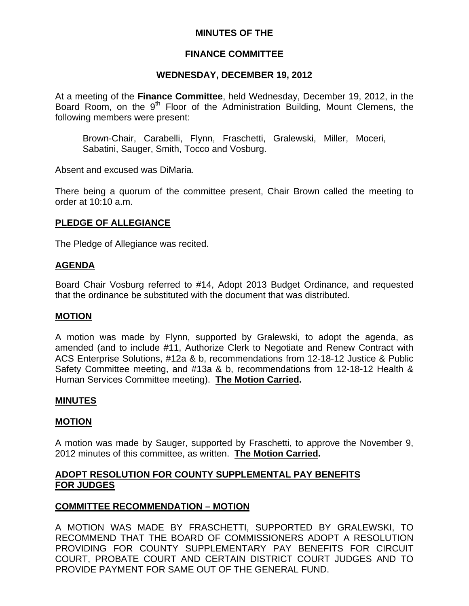# **MINUTES OF THE**

### **FINANCE COMMITTEE**

### **WEDNESDAY, DECEMBER 19, 2012**

At a meeting of the **Finance Committee**, held Wednesday, December 19, 2012, in the Board Room, on the  $9<sup>th</sup>$  Floor of the Administration Building, Mount Clemens, the following members were present:

Brown-Chair, Carabelli, Flynn, Fraschetti, Gralewski, Miller, Moceri, Sabatini, Sauger, Smith, Tocco and Vosburg.

Absent and excused was DiMaria.

There being a quorum of the committee present, Chair Brown called the meeting to order at 10:10 a.m.

# **PLEDGE OF ALLEGIANCE**

The Pledge of Allegiance was recited.

#### **AGENDA**

Board Chair Vosburg referred to #14, Adopt 2013 Budget Ordinance, and requested that the ordinance be substituted with the document that was distributed.

#### **MOTION**

A motion was made by Flynn, supported by Gralewski, to adopt the agenda, as amended (and to include #11, Authorize Clerk to Negotiate and Renew Contract with ACS Enterprise Solutions, #12a & b, recommendations from 12-18-12 Justice & Public Safety Committee meeting, and #13a & b, recommendations from 12-18-12 Health & Human Services Committee meeting). **The Motion Carried.** 

#### **MINUTES**

#### **MOTION**

A motion was made by Sauger, supported by Fraschetti, to approve the November 9, 2012 minutes of this committee, as written. **The Motion Carried.** 

### **ADOPT RESOLUTION FOR COUNTY SUPPLEMENTAL PAY BENEFITS FOR JUDGES**

# **COMMITTEE RECOMMENDATION – MOTION**

A MOTION WAS MADE BY FRASCHETTI, SUPPORTED BY GRALEWSKI, TO RECOMMEND THAT THE BOARD OF COMMISSIONERS ADOPT A RESOLUTION PROVIDING FOR COUNTY SUPPLEMENTARY PAY BENEFITS FOR CIRCUIT COURT, PROBATE COURT AND CERTAIN DISTRICT COURT JUDGES AND TO PROVIDE PAYMENT FOR SAME OUT OF THE GENERAL FUND.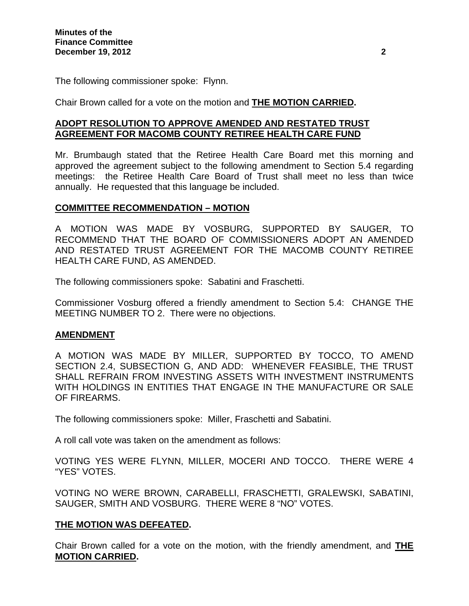The following commissioner spoke: Flynn.

Chair Brown called for a vote on the motion and **THE MOTION CARRIED.** 

# **ADOPT RESOLUTION TO APPROVE AMENDED AND RESTATED TRUST AGREEMENT FOR MACOMB COUNTY RETIREE HEALTH CARE FUND**

Mr. Brumbaugh stated that the Retiree Health Care Board met this morning and approved the agreement subject to the following amendment to Section 5.4 regarding meetings: the Retiree Health Care Board of Trust shall meet no less than twice annually. He requested that this language be included.

### **COMMITTEE RECOMMENDATION – MOTION**

A MOTION WAS MADE BY VOSBURG, SUPPORTED BY SAUGER, TO RECOMMEND THAT THE BOARD OF COMMISSIONERS ADOPT AN AMENDED AND RESTATED TRUST AGREEMENT FOR THE MACOMB COUNTY RETIREE HEALTH CARE FUND, AS AMENDED.

The following commissioners spoke: Sabatini and Fraschetti.

Commissioner Vosburg offered a friendly amendment to Section 5.4: CHANGE THE MEETING NUMBER TO 2. There were no objections.

#### **AMENDMENT**

A MOTION WAS MADE BY MILLER, SUPPORTED BY TOCCO, TO AMEND SECTION 2.4, SUBSECTION G, AND ADD: WHENEVER FEASIBLE, THE TRUST SHALL REFRAIN FROM INVESTING ASSETS WITH INVESTMENT INSTRUMENTS WITH HOLDINGS IN ENTITIES THAT ENGAGE IN THE MANUFACTURE OR SALE OF FIREARMS.

The following commissioners spoke: Miller, Fraschetti and Sabatini.

A roll call vote was taken on the amendment as follows:

VOTING YES WERE FLYNN, MILLER, MOCERI AND TOCCO. THERE WERE 4 "YES" VOTES.

VOTING NO WERE BROWN, CARABELLI, FRASCHETTI, GRALEWSKI, SABATINI, SAUGER, SMITH AND VOSBURG. THERE WERE 8 "NO" VOTES.

# **THE MOTION WAS DEFEATED.**

Chair Brown called for a vote on the motion, with the friendly amendment, and **THE MOTION CARRIED.**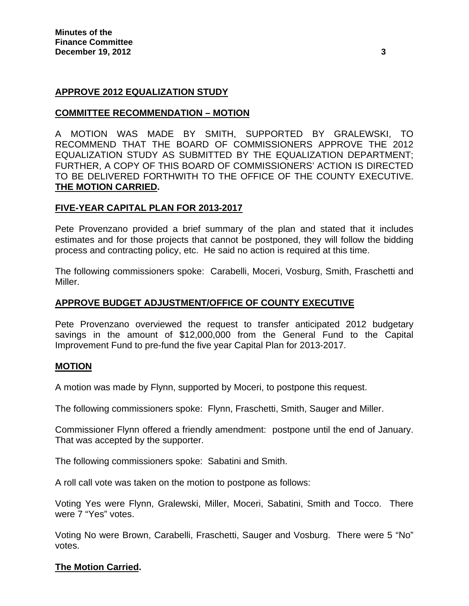### **APPROVE 2012 EQUALIZATION STUDY**

### **COMMITTEE RECOMMENDATION – MOTION**

A MOTION WAS MADE BY SMITH, SUPPORTED BY GRALEWSKI, TO RECOMMEND THAT THE BOARD OF COMMISSIONERS APPROVE THE 2012 EQUALIZATION STUDY AS SUBMITTED BY THE EQUALIZATION DEPARTMENT; FURTHER, A COPY OF THIS BOARD OF COMMISSIONERS' ACTION IS DIRECTED TO BE DELIVERED FORTHWITH TO THE OFFICE OF THE COUNTY EXECUTIVE. **THE MOTION CARRIED.** 

### **FIVE-YEAR CAPITAL PLAN FOR 2013-2017**

Pete Provenzano provided a brief summary of the plan and stated that it includes estimates and for those projects that cannot be postponed, they will follow the bidding process and contracting policy, etc. He said no action is required at this time.

The following commissioners spoke: Carabelli, Moceri, Vosburg, Smith, Fraschetti and Miller.

### **APPROVE BUDGET ADJUSTMENT/OFFICE OF COUNTY EXECUTIVE**

Pete Provenzano overviewed the request to transfer anticipated 2012 budgetary savings in the amount of \$12,000,000 from the General Fund to the Capital Improvement Fund to pre-fund the five year Capital Plan for 2013-2017.

#### **MOTION**

A motion was made by Flynn, supported by Moceri, to postpone this request.

The following commissioners spoke: Flynn, Fraschetti, Smith, Sauger and Miller.

Commissioner Flynn offered a friendly amendment: postpone until the end of January. That was accepted by the supporter.

The following commissioners spoke: Sabatini and Smith.

A roll call vote was taken on the motion to postpone as follows:

Voting Yes were Flynn, Gralewski, Miller, Moceri, Sabatini, Smith and Tocco. There were 7 "Yes" votes.

Voting No were Brown, Carabelli, Fraschetti, Sauger and Vosburg. There were 5 "No" votes.

#### **The Motion Carried.**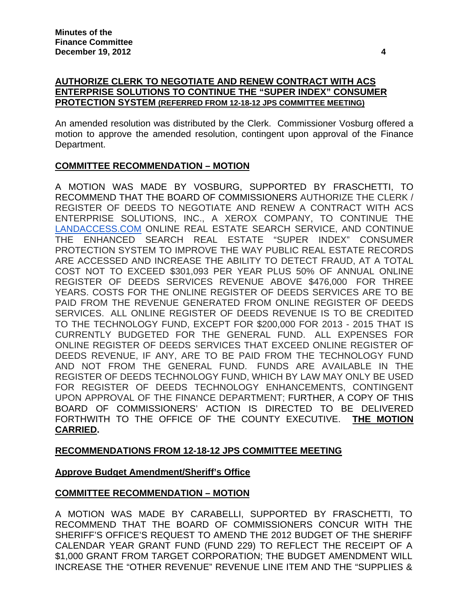# **AUTHORIZE CLERK TO NEGOTIATE AND RENEW CONTRACT WITH ACS ENTERPRISE SOLUTIONS TO CONTINUE THE "SUPER INDEX" CONSUMER PROTECTION SYSTEM (REFERRED FROM 12-18-12 JPS COMMITTEE MEETING)**

An amended resolution was distributed by the Clerk. Commissioner Vosburg offered a motion to approve the amended resolution, contingent upon approval of the Finance Department.

# **COMMITTEE RECOMMENDATION – MOTION**

A MOTION WAS MADE BY VOSBURG, SUPPORTED BY FRASCHETTI, TO RECOMMEND THAT THE BOARD OF COMMISSIONERS AUTHORIZE THE CLERK / REGISTER OF DEEDS TO NEGOTIATE AND RENEW A CONTRACT WITH ACS ENTERPRISE SOLUTIONS, INC., A XEROX COMPANY, TO CONTINUE THE [LANDACCESS.COM](http://landaccess.com/) ONLINE REAL ESTATE SEARCH SERVICE, AND CONTINUE THE ENHANCED SEARCH REAL ESTATE "SUPER INDEX" CONSUMER PROTECTION SYSTEM TO IMPROVE THE WAY PUBLIC REAL ESTATE RECORDS ARE ACCESSED AND INCREASE THE ABILITY TO DETECT FRAUD, AT A TOTAL COST NOT TO EXCEED \$301,093 PER YEAR PLUS 50% OF ANNUAL ONLINE REGISTER OF DEEDS SERVICES REVENUE ABOVE \$476,000 FOR THREE YEARS. COSTS FOR THE ONLINE REGISTER OF DEEDS SERVICES ARE TO BE PAID FROM THE REVENUE GENERATED FROM ONLINE REGISTER OF DEEDS SERVICES. ALL ONLINE REGISTER OF DEEDS REVENUE IS TO BE CREDITED TO THE TECHNOLOGY FUND, EXCEPT FOR \$200,000 FOR 2013 - 2015 THAT IS CURRENTLY BUDGETED FOR THE GENERAL FUND. ALL EXPENSES FOR ONLINE REGISTER OF DEEDS SERVICES THAT EXCEED ONLINE REGISTER OF DEEDS REVENUE, IF ANY, ARE TO BE PAID FROM THE TECHNOLOGY FUND AND NOT FROM THE GENERAL FUND. FUNDS ARE AVAILABLE IN THE REGISTER OF DEEDS TECHNOLOGY FUND, WHICH BY LAW MAY ONLY BE USED FOR REGISTER OF DEEDS TECHNOLOGY ENHANCEMENTS, CONTINGENT UPON APPROVAL OF THE FINANCE DEPARTMENT; FURTHER, A COPY OF THIS BOARD OF COMMISSIONERS' ACTION IS DIRECTED TO BE DELIVERED FORTHWITH TO THE OFFICE OF THE COUNTY EXECUTIVE. **THE MOTION CARRIED.** 

# **RECOMMENDATIONS FROM 12-18-12 JPS COMMITTEE MEETING**

# **Approve Budget Amendment/Sheriff's Office**

# **COMMITTEE RECOMMENDATION – MOTION**

A MOTION WAS MADE BY CARABELLI, SUPPORTED BY FRASCHETTI, TO RECOMMEND THAT THE BOARD OF COMMISSIONERS CONCUR WITH THE SHERIFF'S OFFICE'S REQUEST TO AMEND THE 2012 BUDGET OF THE SHERIFF CALENDAR YEAR GRANT FUND (FUND 229) TO REFLECT THE RECEIPT OF A \$1,000 GRANT FROM TARGET CORPORATION; THE BUDGET AMENDMENT WILL INCREASE THE "OTHER REVENUE" REVENUE LINE ITEM AND THE "SUPPLIES &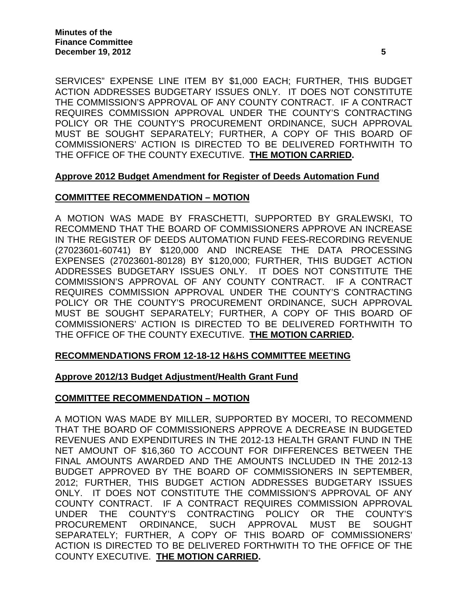SERVICES" EXPENSE LINE ITEM BY \$1,000 EACH; FURTHER, THIS BUDGET ACTION ADDRESSES BUDGETARY ISSUES ONLY. IT DOES NOT CONSTITUTE THE COMMISSION'S APPROVAL OF ANY COUNTY CONTRACT. IF A CONTRACT REQUIRES COMMISSION APPROVAL UNDER THE COUNTY'S CONTRACTING POLICY OR THE COUNTY'S PROCUREMENT ORDINANCE, SUCH APPROVAL MUST BE SOUGHT SEPARATELY; FURTHER, A COPY OF THIS BOARD OF COMMISSIONERS' ACTION IS DIRECTED TO BE DELIVERED FORTHWITH TO THE OFFICE OF THE COUNTY EXECUTIVE. **THE MOTION CARRIED.** 

# **Approve 2012 Budget Amendment for Register of Deeds Automation Fund**

# **COMMITTEE RECOMMENDATION – MOTION**

A MOTION WAS MADE BY FRASCHETTI, SUPPORTED BY GRALEWSKI, TO RECOMMEND THAT THE BOARD OF COMMISSIONERS APPROVE AN INCREASE IN THE REGISTER OF DEEDS AUTOMATION FUND FEES-RECORDING REVENUE (27023601-60741) BY \$120,000 AND INCREASE THE DATA PROCESSING EXPENSES (27023601-80128) BY \$120,000; FURTHER, THIS BUDGET ACTION ADDRESSES BUDGETARY ISSUES ONLY. IT DOES NOT CONSTITUTE THE COMMISSION'S APPROVAL OF ANY COUNTY CONTRACT. IF A CONTRACT REQUIRES COMMISSION APPROVAL UNDER THE COUNTY'S CONTRACTING POLICY OR THE COUNTY'S PROCUREMENT ORDINANCE, SUCH APPROVAL MUST BE SOUGHT SEPARATELY; FURTHER, A COPY OF THIS BOARD OF COMMISSIONERS' ACTION IS DIRECTED TO BE DELIVERED FORTHWITH TO THE OFFICE OF THE COUNTY EXECUTIVE. **THE MOTION CARRIED.** 

#### **RECOMMENDATIONS FROM 12-18-12 H&HS COMMITTEE MEETING**

# **Approve 2012/13 Budget Adjustment/Health Grant Fund**

# **COMMITTEE RECOMMENDATION – MOTION**

A MOTION WAS MADE BY MILLER, SUPPORTED BY MOCERI, TO RECOMMEND THAT THE BOARD OF COMMISSIONERS APPROVE A DECREASE IN BUDGETED REVENUES AND EXPENDITURES IN THE 2012-13 HEALTH GRANT FUND IN THE NET AMOUNT OF \$16,360 TO ACCOUNT FOR DIFFERENCES BETWEEN THE FINAL AMOUNTS AWARDED AND THE AMOUNTS INCLUDED IN THE 2012-13 BUDGET APPROVED BY THE BOARD OF COMMISSIONERS IN SEPTEMBER, 2012; FURTHER, THIS BUDGET ACTION ADDRESSES BUDGETARY ISSUES ONLY. IT DOES NOT CONSTITUTE THE COMMISSION'S APPROVAL OF ANY COUNTY CONTRACT. IF A CONTRACT REQUIRES COMMISSION APPROVAL UNDER THE COUNTY'S CONTRACTING POLICY OR THE COUNTY'S PROCUREMENT ORDINANCE, SUCH APPROVAL MUST BE SOUGHT SEPARATELY; FURTHER, A COPY OF THIS BOARD OF COMMISSIONERS' ACTION IS DIRECTED TO BE DELIVERED FORTHWITH TO THE OFFICE OF THE COUNTY EXECUTIVE. **THE MOTION CARRIED.**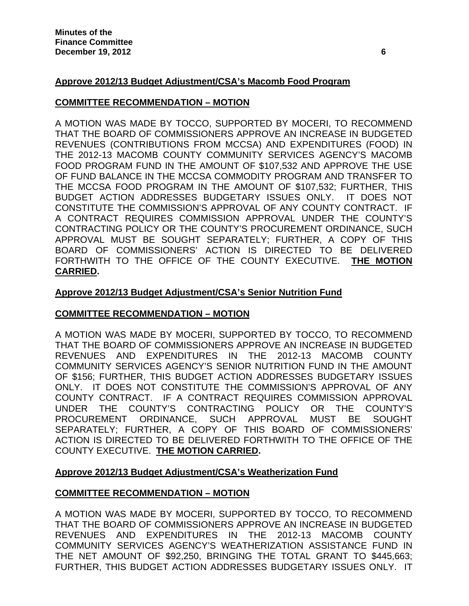# **Approve 2012/13 Budget Adjustment/CSA's Macomb Food Program**

# **COMMITTEE RECOMMENDATION – MOTION**

A MOTION WAS MADE BY TOCCO, SUPPORTED BY MOCERI, TO RECOMMEND THAT THE BOARD OF COMMISSIONERS APPROVE AN INCREASE IN BUDGETED REVENUES (CONTRIBUTIONS FROM MCCSA) AND EXPENDITURES (FOOD) IN THE 2012-13 MACOMB COUNTY COMMUNITY SERVICES AGENCY'S MACOMB FOOD PROGRAM FUND IN THE AMOUNT OF \$107,532 AND APPROVE THE USE OF FUND BALANCE IN THE MCCSA COMMODITY PROGRAM AND TRANSFER TO THE MCCSA FOOD PROGRAM IN THE AMOUNT OF \$107,532; FURTHER, THIS BUDGET ACTION ADDRESSES BUDGETARY ISSUES ONLY. IT DOES NOT CONSTITUTE THE COMMISSION'S APPROVAL OF ANY COUNTY CONTRACT. IF A CONTRACT REQUIRES COMMISSION APPROVAL UNDER THE COUNTY'S CONTRACTING POLICY OR THE COUNTY'S PROCUREMENT ORDINANCE, SUCH APPROVAL MUST BE SOUGHT SEPARATELY; FURTHER, A COPY OF THIS BOARD OF COMMISSIONERS' ACTION IS DIRECTED TO BE DELIVERED FORTHWITH TO THE OFFICE OF THE COUNTY EXECUTIVE. **THE MOTION CARRIED.** 

# **Approve 2012/13 Budget Adjustment/CSA's Senior Nutrition Fund**

# **COMMITTEE RECOMMENDATION – MOTION**

A MOTION WAS MADE BY MOCERI, SUPPORTED BY TOCCO, TO RECOMMEND THAT THE BOARD OF COMMISSIONERS APPROVE AN INCREASE IN BUDGETED REVENUES AND EXPENDITURES IN THE 2012-13 MACOMB COUNTY COMMUNITY SERVICES AGENCY'S SENIOR NUTRITION FUND IN THE AMOUNT OF \$156; FURTHER, THIS BUDGET ACTION ADDRESSES BUDGETARY ISSUES ONLY. IT DOES NOT CONSTITUTE THE COMMISSION'S APPROVAL OF ANY COUNTY CONTRACT. IF A CONTRACT REQUIRES COMMISSION APPROVAL UNDER THE COUNTY'S CONTRACTING POLICY OR THE COUNTY'S PROCUREMENT ORDINANCE, SUCH APPROVAL MUST BE SOUGHT SEPARATELY; FURTHER, A COPY OF THIS BOARD OF COMMISSIONERS' ACTION IS DIRECTED TO BE DELIVERED FORTHWITH TO THE OFFICE OF THE COUNTY EXECUTIVE. **THE MOTION CARRIED.** 

# **Approve 2012/13 Budget Adjustment/CSA's Weatherization Fund**

#### **COMMITTEE RECOMMENDATION – MOTION**

A MOTION WAS MADE BY MOCERI, SUPPORTED BY TOCCO, TO RECOMMEND THAT THE BOARD OF COMMISSIONERS APPROVE AN INCREASE IN BUDGETED REVENUES AND EXPENDITURES IN THE 2012-13 MACOMB COUNTY COMMUNITY SERVICES AGENCY'S WEATHERIZATION ASSISTANCE FUND IN THE NET AMOUNT OF \$92,250, BRINGING THE TOTAL GRANT TO \$445,663; FURTHER, THIS BUDGET ACTION ADDRESSES BUDGETARY ISSUES ONLY. IT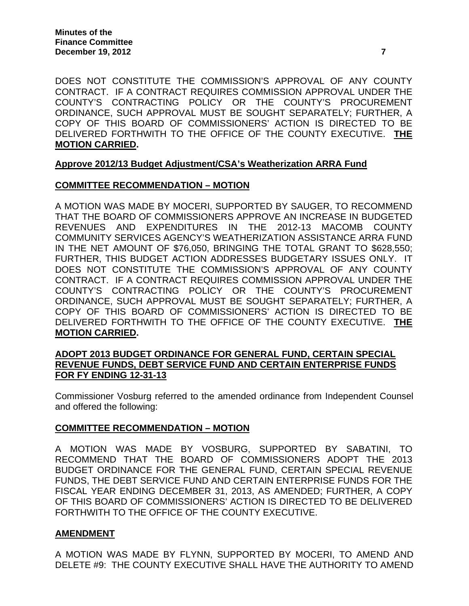DOES NOT CONSTITUTE THE COMMISSION'S APPROVAL OF ANY COUNTY CONTRACT. IF A CONTRACT REQUIRES COMMISSION APPROVAL UNDER THE COUNTY'S CONTRACTING POLICY OR THE COUNTY'S PROCUREMENT ORDINANCE, SUCH APPROVAL MUST BE SOUGHT SEPARATELY; FURTHER, A COPY OF THIS BOARD OF COMMISSIONERS' ACTION IS DIRECTED TO BE DELIVERED FORTHWITH TO THE OFFICE OF THE COUNTY EXECUTIVE. **THE MOTION CARRIED.** 

# **Approve 2012/13 Budget Adjustment/CSA's Weatherization ARRA Fund**

# **COMMITTEE RECOMMENDATION – MOTION**

A MOTION WAS MADE BY MOCERI, SUPPORTED BY SAUGER, TO RECOMMEND THAT THE BOARD OF COMMISSIONERS APPROVE AN INCREASE IN BUDGETED REVENUES AND EXPENDITURES IN THE 2012-13 MACOMB COUNTY COMMUNITY SERVICES AGENCY'S WEATHERIZATION ASSISTANCE ARRA FUND IN THE NET AMOUNT OF \$76,050, BRINGING THE TOTAL GRANT TO \$628,550; FURTHER, THIS BUDGET ACTION ADDRESSES BUDGETARY ISSUES ONLY. IT DOES NOT CONSTITUTE THE COMMISSION'S APPROVAL OF ANY COUNTY CONTRACT. IF A CONTRACT REQUIRES COMMISSION APPROVAL UNDER THE COUNTY'S CONTRACTING POLICY OR THE COUNTY'S PROCUREMENT ORDINANCE, SUCH APPROVAL MUST BE SOUGHT SEPARATELY; FURTHER, A COPY OF THIS BOARD OF COMMISSIONERS' ACTION IS DIRECTED TO BE DELIVERED FORTHWITH TO THE OFFICE OF THE COUNTY EXECUTIVE. **THE MOTION CARRIED.** 

### **ADOPT 2013 BUDGET ORDINANCE FOR GENERAL FUND, CERTAIN SPECIAL REVENUE FUNDS, DEBT SERVICE FUND AND CERTAIN ENTERPRISE FUNDS FOR FY ENDING 12-31-13**

Commissioner Vosburg referred to the amended ordinance from Independent Counsel and offered the following:

# **COMMITTEE RECOMMENDATION – MOTION**

A MOTION WAS MADE BY VOSBURG, SUPPORTED BY SABATINI, TO RECOMMEND THAT THE BOARD OF COMMISSIONERS ADOPT THE 2013 BUDGET ORDINANCE FOR THE GENERAL FUND, CERTAIN SPECIAL REVENUE FUNDS, THE DEBT SERVICE FUND AND CERTAIN ENTERPRISE FUNDS FOR THE FISCAL YEAR ENDING DECEMBER 31, 2013, AS AMENDED; FURTHER, A COPY OF THIS BOARD OF COMMISSIONERS' ACTION IS DIRECTED TO BE DELIVERED FORTHWITH TO THE OFFICE OF THE COUNTY EXECUTIVE.

# **AMENDMENT**

A MOTION WAS MADE BY FLYNN, SUPPORTED BY MOCERI, TO AMEND AND DELETE #9: THE COUNTY EXECUTIVE SHALL HAVE THE AUTHORITY TO AMEND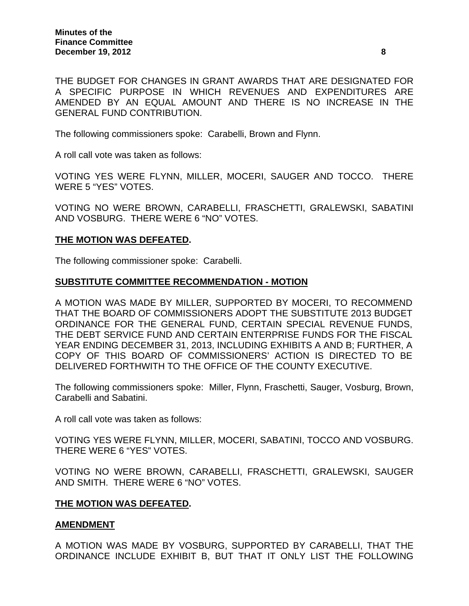THE BUDGET FOR CHANGES IN GRANT AWARDS THAT ARE DESIGNATED FOR A SPECIFIC PURPOSE IN WHICH REVENUES AND EXPENDITURES ARE AMENDED BY AN EQUAL AMOUNT AND THERE IS NO INCREASE IN THE GENERAL FUND CONTRIBUTION.

The following commissioners spoke: Carabelli, Brown and Flynn.

A roll call vote was taken as follows:

VOTING YES WERE FLYNN, MILLER, MOCERI, SAUGER AND TOCCO. THERE WERE 5 "YES" VOTES.

VOTING NO WERE BROWN, CARABELLI, FRASCHETTI, GRALEWSKI, SABATINI AND VOSBURG. THERE WERE 6 "NO" VOTES.

#### **THE MOTION WAS DEFEATED.**

The following commissioner spoke: Carabelli.

#### **SUBSTITUTE COMMITTEE RECOMMENDATION - MOTION**

A MOTION WAS MADE BY MILLER, SUPPORTED BY MOCERI, TO RECOMMEND THAT THE BOARD OF COMMISSIONERS ADOPT THE SUBSTITUTE 2013 BUDGET ORDINANCE FOR THE GENERAL FUND, CERTAIN SPECIAL REVENUE FUNDS, THE DEBT SERVICE FUND AND CERTAIN ENTERPRISE FUNDS FOR THE FISCAL YEAR ENDING DECEMBER 31, 2013, INCLUDING EXHIBITS A AND B; FURTHER, A COPY OF THIS BOARD OF COMMISSIONERS' ACTION IS DIRECTED TO BE DELIVERED FORTHWITH TO THE OFFICE OF THE COUNTY EXECUTIVE.

The following commissioners spoke: Miller, Flynn, Fraschetti, Sauger, Vosburg, Brown, Carabelli and Sabatini.

A roll call vote was taken as follows:

VOTING YES WERE FLYNN, MILLER, MOCERI, SABATINI, TOCCO AND VOSBURG. THERE WERE 6 "YES" VOTES.

VOTING NO WERE BROWN, CARABELLI, FRASCHETTI, GRALEWSKI, SAUGER AND SMITH. THERE WERE 6 "NO" VOTES.

#### **THE MOTION WAS DEFEATED.**

#### **AMENDMENT**

A MOTION WAS MADE BY VOSBURG, SUPPORTED BY CARABELLI, THAT THE ORDINANCE INCLUDE EXHIBIT B, BUT THAT IT ONLY LIST THE FOLLOWING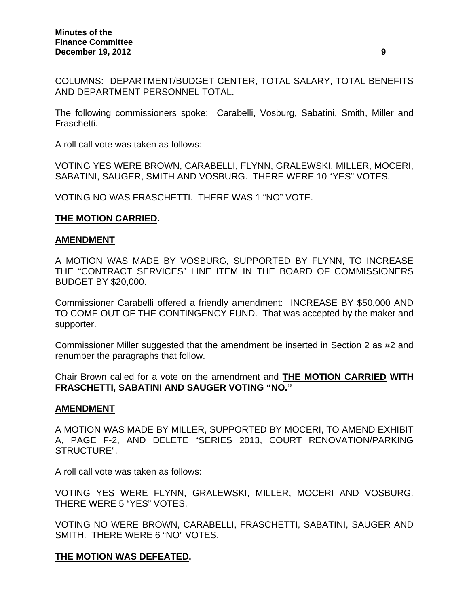COLUMNS: DEPARTMENT/BUDGET CENTER, TOTAL SALARY, TOTAL BENEFITS AND DEPARTMENT PERSONNEL TOTAL.

The following commissioners spoke: Carabelli, Vosburg, Sabatini, Smith, Miller and Fraschetti.

A roll call vote was taken as follows:

VOTING YES WERE BROWN, CARABELLI, FLYNN, GRALEWSKI, MILLER, MOCERI, SABATINI, SAUGER, SMITH AND VOSBURG. THERE WERE 10 "YES" VOTES.

VOTING NO WAS FRASCHETTI. THERE WAS 1 "NO" VOTE.

### **THE MOTION CARRIED.**

#### **AMENDMENT**

A MOTION WAS MADE BY VOSBURG, SUPPORTED BY FLYNN, TO INCREASE THE "CONTRACT SERVICES" LINE ITEM IN THE BOARD OF COMMISSIONERS BUDGET BY \$20,000.

Commissioner Carabelli offered a friendly amendment: INCREASE BY \$50,000 AND TO COME OUT OF THE CONTINGENCY FUND. That was accepted by the maker and supporter.

Commissioner Miller suggested that the amendment be inserted in Section 2 as #2 and renumber the paragraphs that follow.

Chair Brown called for a vote on the amendment and **THE MOTION CARRIED WITH FRASCHETTI, SABATINI AND SAUGER VOTING "NO."**

#### **AMENDMENT**

A MOTION WAS MADE BY MILLER, SUPPORTED BY MOCERI, TO AMEND EXHIBIT A, PAGE F-2, AND DELETE "SERIES 2013, COURT RENOVATION/PARKING STRUCTURE".

A roll call vote was taken as follows:

VOTING YES WERE FLYNN, GRALEWSKI, MILLER, MOCERI AND VOSBURG. THERE WERE 5 "YES" VOTES.

VOTING NO WERE BROWN, CARABELLI, FRASCHETTI, SABATINI, SAUGER AND SMITH. THERE WERE 6 "NO" VOTES.

#### **THE MOTION WAS DEFEATED.**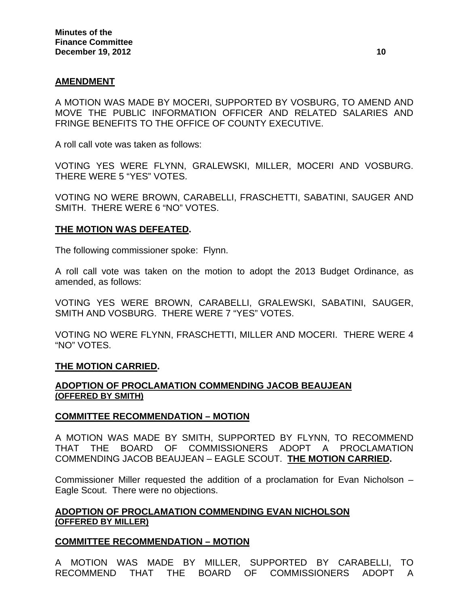#### **AMENDMENT**

A MOTION WAS MADE BY MOCERI, SUPPORTED BY VOSBURG, TO AMEND AND MOVE THE PUBLIC INFORMATION OFFICER AND RELATED SALARIES AND FRINGE BENEFITS TO THE OFFICE OF COUNTY EXECUTIVE.

A roll call vote was taken as follows:

VOTING YES WERE FLYNN, GRALEWSKI, MILLER, MOCERI AND VOSBURG. THERE WERE 5 "YES" VOTES.

VOTING NO WERE BROWN, CARABELLI, FRASCHETTI, SABATINI, SAUGER AND SMITH. THERE WERE 6 "NO" VOTES.

#### **THE MOTION WAS DEFEATED.**

The following commissioner spoke: Flynn.

A roll call vote was taken on the motion to adopt the 2013 Budget Ordinance, as amended, as follows:

VOTING YES WERE BROWN, CARABELLI, GRALEWSKI, SABATINI, SAUGER, SMITH AND VOSBURG. THERE WERE 7 "YES" VOTES.

VOTING NO WERE FLYNN, FRASCHETTI, MILLER AND MOCERI. THERE WERE 4 "NO" VOTES.

#### **THE MOTION CARRIED.**

#### **ADOPTION OF PROCLAMATION COMMENDING JACOB BEAUJEAN (OFFERED BY SMITH)**

#### **COMMITTEE RECOMMENDATION – MOTION**

A MOTION WAS MADE BY SMITH, SUPPORTED BY FLYNN, TO RECOMMEND THAT THE BOARD OF COMMISSIONERS ADOPT A PROCLAMATION COMMENDING JACOB BEAUJEAN – EAGLE SCOUT. **THE MOTION CARRIED.** 

Commissioner Miller requested the addition of a proclamation for Evan Nicholson – Eagle Scout. There were no objections.

#### **ADOPTION OF PROCLAMATION COMMENDING EVAN NICHOLSON (OFFERED BY MILLER)**

#### **COMMITTEE RECOMMENDATION – MOTION**

A MOTION WAS MADE BY MILLER, SUPPORTED BY CARABELLI, TO RECOMMEND THAT THE BOARD OF COMMISSIONERS ADOPT A